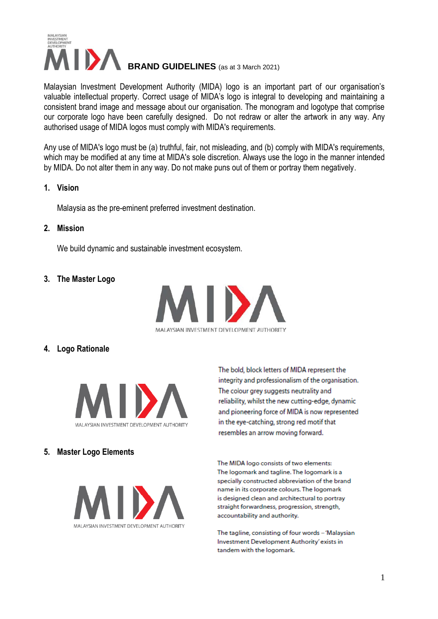

Malaysian Investment Development Authority (MIDA) logo is an important part of our organisation's valuable intellectual property. Correct usage of MIDA's logo is integral to developing and maintaining a consistent brand image and message about our organisation. The monogram and logotype that comprise our corporate logo have been carefully designed. Do not redraw or alter the artwork in any way. Any authorised usage of MIDA logos must comply with MIDA's requirements.

Any use of MIDA's logo must be (a) truthful, fair, not misleading, and (b) comply with MIDA's requirements, which may be modified at any time at MIDA's sole discretion. Always use the logo in the manner intended by MIDA. Do not alter them in any way. Do not make puns out of them or portray them negatively.

#### **1. Vision**

Malaysia as the pre-eminent preferred investment destination.

**2. Mission**

We build dynamic and sustainable investment ecosystem.

**3. The Master Logo**



**4. Logo Rationale**



### **5. Master Logo Elements**



The bold, block letters of MIDA represent the integrity and professionalism of the organisation. The colour grey suggests neutrality and reliability, whilst the new cutting-edge, dynamic and pioneering force of MIDA is now represented in the eye-catching, strong red motif that resembles an arrow moving forward.

The MIDA logo consists of two elements: The logomark and tagline. The logomark is a specially constructed abbreviation of the brand name in its corporate colours. The logomark is designed clean and architectural to portray straight forwardness, progression, strength, accountability and authority.

The tagline, consisting of four words - 'Malaysian Investment Development Authority' exists in tandem with the logomark.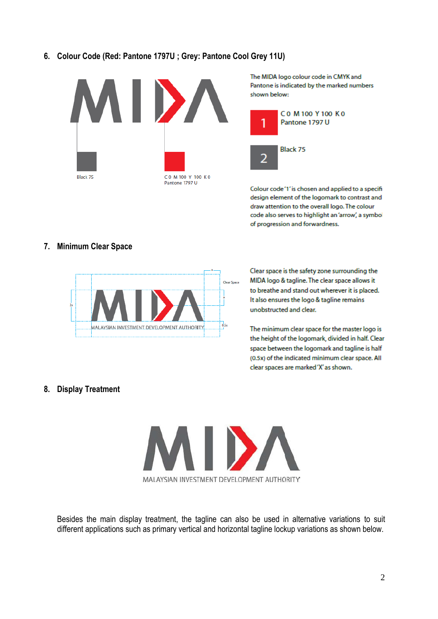# **6. Colour Code (Red: Pantone 1797U ; Grey: Pantone Cool Grey 11U)**



The MIDA logo colour code in CMYK and Pantone is indicated by the marked numbers



Colour code'1' is chosen and applied to a specifi design element of the logomark to contrast and draw attention to the overall logo. The colour code also serves to highlight an 'arrow', a symbol of progression and forwardness.

### **7. Minimum Clear Space**



Clear space is the safety zone surrounding the MIDA logo & tagline. The clear space allows it to breathe and stand out wherever it is placed. It also ensures the logo & tagline remains unobstructed and clear.

The minimum clear space for the master logo is the height of the logomark, divided in half. Clear space between the logomark and tagline is half (0.5x) of the indicated minimum clear space. All clear spaces are marked 'X' as shown.

#### **8. Display Treatment**



Besides the main display treatment, the tagline can also be used in alternative variations to suit different applications such as primary vertical and horizontal tagline lockup variations as shown below.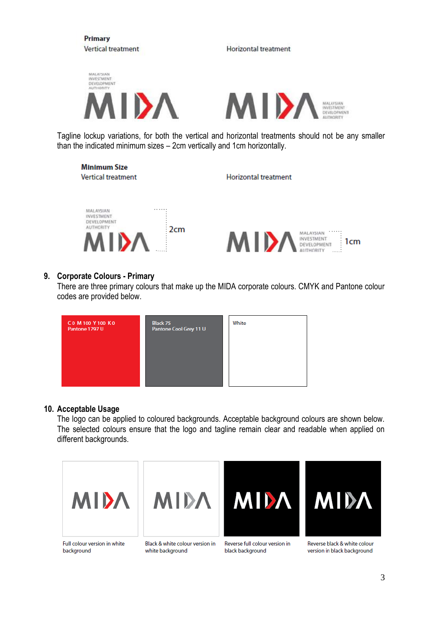

than the indicated minimum sizes – 2cm vertically and 1cm horizontally.

**Minimum Size Vertical treatment** 

**Horizontal treatment** 



### **9. Corporate Colours - Primary**

There are three primary colours that make up the MIDA corporate colours. CMYK and Pantone colour codes are provided below.



### **10. Acceptable Usage**

The logo can be applied to coloured backgrounds. Acceptable background colours are shown below. The selected colours ensure that the logo and tagline remain clear and readable when applied on different backgrounds.







Reverse full colour version in black background



Reverse black & white colour version in black background

Full colour version in white background

Black & white colour version in white background